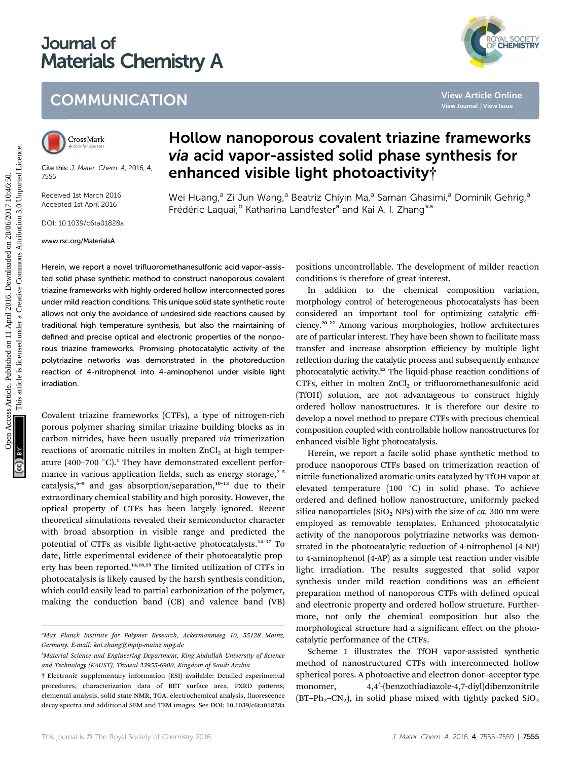# Journal of Materials Chemistry A



## **COMMUNICATION**



Cite this: J. Mater. Chem. A, 2016, 4, 7555

Received 1st March 2016 Accepted 1st April 2016

DOI: 10.1039/c6ta01828a

www.rsc.org/MaterialsA

## Hollow nanoporous covalent triazine frameworks via acid vapor-assisted solid phase synthesis for enhanced visible light photoactivity†

Wei Huang,<sup>a</sup> Zi Jun Wang,<sup>a</sup> Beatriz Chiyin Ma,<sup>a</sup> Saman Ghasimi,<sup>a</sup> Dominik Gehrig,<sup>a</sup> Frédéric Laquai,<sup>b</sup> Katharina Landfester<sup>a</sup> and Kai A. I. Zhang<sup>\*a</sup>

Herein, we report a novel trifluoromethanesulfonic acid vapor-assisted solid phase synthetic method to construct nanoporous covalent triazine frameworks with highly ordered hollow interconnected pores under mild reaction conditions. This unique solid state synthetic route allows not only the avoidance of undesired side reactions caused by traditional high temperature synthesis, but also the maintaining of defined and precise optical and electronic properties of the nonporous triazine frameworks. Promising photocatalytic activity of the polytriazine networks was demonstrated in the photoreduction reaction of 4-nitrophenol into 4-aminophenol under visible light irradiation.

Covalent triazine frameworks (CTFs), a type of nitrogen-rich porous polymer sharing similar triazine building blocks as in carbon nitrides, have been usually prepared via trimerization reactions of aromatic nitriles in molten  $ZnCl<sub>2</sub>$  at high temperature (400–700  $^{\circ}$ C).<sup>1</sup> They have demonstrated excellent performance in various application fields, such as energy storage, $2-5$ catalysis,<sup>6-9</sup> and gas absorption/separation,<sup>10-13</sup> due to their extraordinary chemical stability and high porosity. However, the optical property of CTFs has been largely ignored. Recent theoretical simulations revealed their semiconductor character with broad absorption in visible range and predicted the potential of CTFs as visible light-active photocatalysts.<sup>14</sup>–<sup>17</sup> To date, little experimental evidence of their photocatalytic property has been reported.<sup>14,18,19</sup> The limited utilization of CTFs in photocatalysis is likely caused by the harsh synthesis condition, which could easily lead to partial carbonization of the polymer, making the conduction band (CB) and valence band (VB)

positions uncontrollable. The development of milder reaction conditions is therefore of great interest.

In addition to the chemical composition variation, morphology control of heterogeneous photocatalysts has been considered an important tool for optimizing catalytic efficiency.<sup>20</sup>–<sup>22</sup> Among various morphologies, hollow architectures are of particular interest. They have been shown to facilitate mass transfer and increase absorption efficiency by multiple light reflection during the catalytic process and subsequently enhance photocatalytic activity.<sup>23</sup> The liquid-phase reaction conditions of CTFs, either in molten  $ZnCl<sub>2</sub>$  or trifluoromethanesulfonic acid (TfOH) solution, are not advantageous to construct highly ordered hollow nanostructures. It is therefore our desire to develop a novel method to prepare CTFs with precious chemical composition coupled with controllable hollow nanostructures for enhanced visible light photocatalysis. COMMUNICATION<br>
View Article Chiline<br>
View Article Chiline<br>
View Article Chiline<br>
View Article Chiline<br>
View Article Chiline<br>
View Article Chiline<br>
View Article Chiline<br>
View Article Chiline<br>
View Article Chiline<br>
Method a

Herein, we report a facile solid phase synthetic method to produce nanoporous CTFs based on trimerization reaction of nitrile-functionalized aromatic units catalyzed by TfOH vapor at elevated temperature (100 $^{\circ}$ C) in solid phase. To achieve ordered and defined hollow nanostructure, uniformly packed silica nanoparticles (SiO<sub>2</sub> NPs) with the size of *ca*. 300 nm were employed as removable templates. Enhanced photocatalytic activity of the nanoporous polytriazine networks was demonstrated in the photocatalytic reduction of 4-nitrophenol (4-NP) to 4-aminophenol (4-AP) as a simple test reaction under visible light irradiation. The results suggested that solid vapor synthesis under mild reaction conditions was an efficient preparation method of nanoporous CTFs with defined optical and electronic property and ordered hollow structure. Furthermore, not only the chemical composition but also the morphological structure had a significant effect on the photocatalytic performance of the CTFs.

Scheme 1 illustrates the TfOH vapor-assisted synthetic method of nanostructured CTFs with interconnected hollow spherical pores. A photoactive and electron donor–acceptor type monomer, -(benzothiadiazole-4,7-diyl)dibenzonitrile (BT–Ph<sub>2</sub>–CN<sub>2</sub>), in solid phase mixed with tightly packed  $SiO<sub>2</sub>$ 

a Max Planck Institute for Polymer Research, Ackermannweg 10, 55128 Mainz, Germany. E-mail: kai.zhang@mpip-mainz.mpg.de

<sup>&</sup>lt;sup>b</sup>Material Science and Engineering Department, King Abdullah University of Science and Technology (KAUST), Thuwal 23955-6900, Kingdom of Saudi Arabia

<sup>†</sup> Electronic supplementary information (ESI) available: Detailed experimental procedures, characterization data of BET surface area, PXRD patterns, elemental analysis, solid state NMR, TGA, electrochemical analysis, fluorescence decay spectra and additional SEM and TEM images. See DOI: 10.1039/c6ta01828a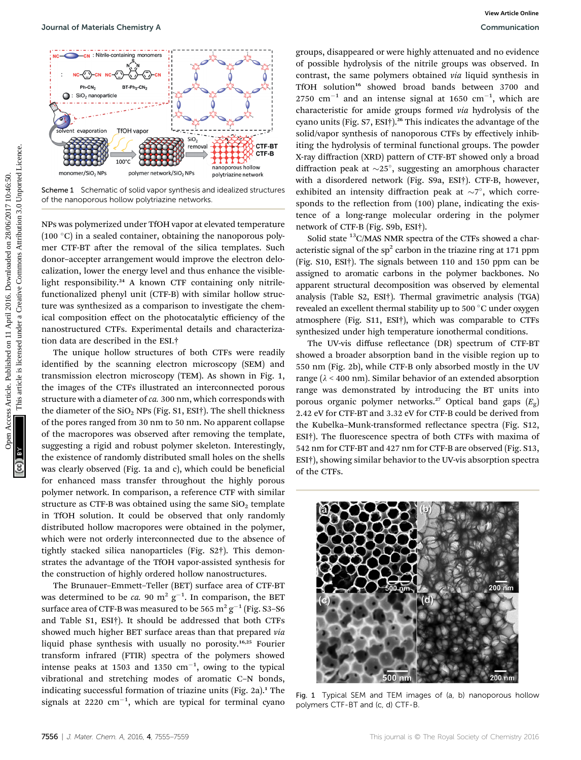

Scheme 1 Schematic of solid vapor synthesis and idealized structures of the nanoporous hollow polytriazine networks.

NPs was polymerized under TfOH vapor at elevated temperature  $(100 \degree C)$  in a sealed container, obtaining the nanoporous polymer CTF-BT after the removal of the silica templates. Such donor–accepter arrangement would improve the electron delocalization, lower the energy level and thus enhance the visiblelight responsibility.<sup>24</sup> A known CTF containing only nitrilefunctionalized phenyl unit (CTF-B) with similar hollow structure was synthesized as a comparison to investigate the chemical composition effect on the photocatalytic efficiency of the nanostructured CTFs. Experimental details and characterization data are described in the ESI.†

The unique hollow structures of both CTFs were readily identified by the scanning electron microscopy (SEM) and transmission electron microscopy (TEM). As shown in Fig. 1, the images of the CTFs illustrated an interconnected porous structure with a diameter of ca. 300 nm, which corresponds with the diameter of the  $SiO<sub>2</sub>$  NPs (Fig. S1, ESI†). The shell thickness of the pores ranged from 30 nm to 50 nm. No apparent collapse of the macropores was observed after removing the template, suggesting a rigid and robust polymer skeleton. Interestingly, the existence of randomly distributed small holes on the shells was clearly observed (Fig. 1a and c), which could be beneficial for enhanced mass transfer throughout the highly porous polymer network. In comparison, a reference CTF with similar structure as CTF-B was obtained using the same  $SiO<sub>2</sub>$  template in TfOH solution. It could be observed that only randomly distributed hollow macropores were obtained in the polymer, which were not orderly interconnected due to the absence of tightly stacked silica nanoparticles (Fig. S2†). This demonstrates the advantage of the TfOH vapor-assisted synthesis for the construction of highly ordered hollow nanostructures.

The Brunauer–Emmett–Teller (BET) surface area of CTF-BT was determined to be *ca.* 90 m<sup>2</sup>  $g^{-1}$ . In comparison, the BET surface area of CTF-B was measured to be 565 m<sup>2</sup> g<sup>-1</sup> (Fig. S3-S6) and Table S1, ESI†). It should be addressed that both CTFs showed much higher BET surface areas than that prepared via liquid phase synthesis with usually no porosity.16,25 Fourier transform infrared (FTIR) spectra of the polymers showed intense peaks at 1503 and 1350  $\text{cm}^{-1}$ , owing to the typical vibrational and stretching modes of aromatic C–N bonds, indicating successful formation of triazine units (Fig. 2a).<sup>1</sup> The signals at 2220  $\text{cm}^{-1}$ , which are typical for terminal cyano

groups, disappeared or were highly attenuated and no evidence of possible hydrolysis of the nitrile groups was observed. In contrast, the same polymers obtained via liquid synthesis in TfOH solution<sup>16</sup> showed broad bands between 3700 and  $2750$  cm<sup>-1</sup> and an intense signal at 1650 cm<sup>-1</sup>, which are characteristic for amide groups formed via hydrolysis of the cyano units (Fig. S7, ESI<sup>†</sup>).<sup>26</sup> This indicates the advantage of the solid/vapor synthesis of nanoporous CTFs by effectively inhibiting the hydrolysis of terminal functional groups. The powder X-ray diffraction (XRD) pattern of CTF-BT showed only a broad diffraction peak at  $\sim$ 25°, suggesting an amorphous character with a disordered network (Fig. S9a, ESI†). CTF-B, however, exhibited an intensity diffraction peak at  $\sim 7^{\circ}$ , which corresponds to the reflection from (100) plane, indicating the existence of a long-range molecular ordering in the polymer network of CTF-B (Fig. S9b, ESI†). **Sources Articles Chemicary Article Commons Articles.** The properties are the properties are the properties are the properties are the properties are the properties of the minimizer signal at 16.0 uncer a specific for the

Solid state  $^{13}$ C/MAS NMR spectra of the CTFs showed a characteristic signal of the  $sp<sup>2</sup>$  carbon in the triazine ring at 171 ppm (Fig. S10, ESI†). The signals between 110 and 150 ppm can be assigned to aromatic carbons in the polymer backbones. No apparent structural decomposition was observed by elemental analysis (Table S2, ESI†). Thermal gravimetric analysis (TGA) revealed an excellent thermal stability up to 500 °C under oxygen atmosphere (Fig. S11, ESI†), which was comparable to CTFs synthesized under high temperature ionothermal conditions.

The UV-vis diffuse reflectance (DR) spectrum of CTF-BT showed a broader absorption band in the visible region up to 550 nm (Fig. 2b), while CTF-B only absorbed mostly in the UV range ( $\lambda$  < 400 nm). Similar behavior of an extended absorption range was demonstrated by introducing the BT units into porous organic polymer networks.<sup>27</sup> Optical band gaps  $(E_{\varphi})$ 2.42 eV for CTF-BT and 3.32 eV for CTF-B could be derived from the Kubelka-Munk-transformed reflectance spectra (Fig. S12, ESI<sup>†</sup>). The fluorescence spectra of both CTFs with maxima of 542 nm for CTF-BT and 427 nm for CTF-B are observed (Fig. S13, ESI†), showing similar behavior to the UV-vis absorption spectra of the CTFs.



Fig. 1 Typical SEM and TEM images of (a, b) nanoporous hollow polymers CTF-BT and (c, d) CTF-B.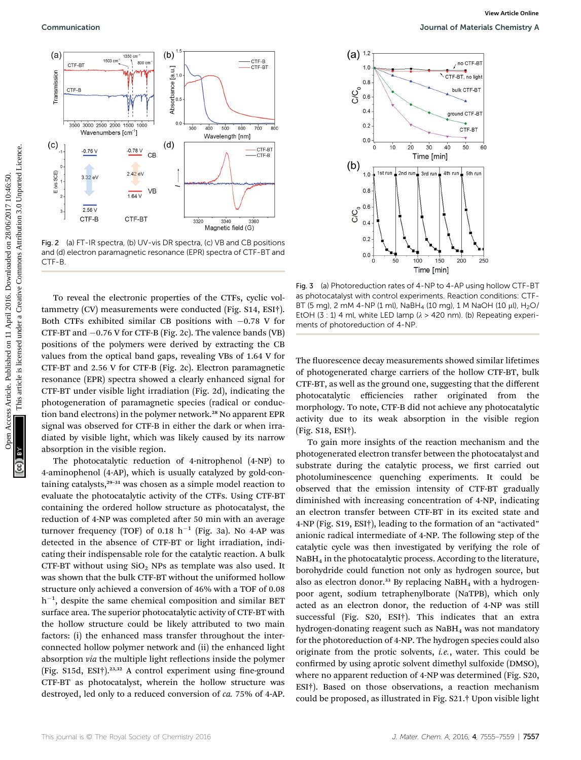

Fig. 2 (a) FT-IR spectra, (b) UV-vis DR spectra, (c) VB and CB positions and (d) electron paramagnetic resonance (EPR) spectra of CTF-BT and CTF-B.

To reveal the electronic properties of the CTFs, cyclic voltammetry (CV) measurements were conducted (Fig. S14, ESI†). Both CTFs exhibited similar CB positions with  $-0.78$  V for CTF-BT and  $-0.76$  V for CTF-B (Fig. 2c). The valence bands (VB) positions of the polymers were derived by extracting the CB values from the optical band gaps, revealing VBs of 1.64 V for CTF-BT and 2.56 V for CTF-B (Fig. 2c). Electron paramagnetic resonance (EPR) spectra showed a clearly enhanced signal for CTF-BT under visible light irradiation (Fig. 2d), indicating the photogeneration of paramagnetic species (radical or conduction band electrons) in the polymer network.<sup>28</sup> No apparent EPR signal was observed for CTF-B in either the dark or when irradiated by visible light, which was likely caused by its narrow absorption in the visible region.

The photocatalytic reduction of 4-nitrophenol (4-NP) to 4-aminophenol (4-AP), which is usually catalyzed by gold-containing catalysts,<sup>29-31</sup> was chosen as a simple model reaction to evaluate the photocatalytic activity of the CTFs. Using CTF-BT containing the ordered hollow structure as photocatalyst, the reduction of 4-NP was completed after 50 min with an average turnover frequency (TOF) of 0.18  $h^{-1}$  (Fig. 3a). No 4-AP was detected in the absence of CTF-BT or light irradiation, indicating their indispensable role for the catalytic reaction. A bulk CTF-BT without using  $SiO<sub>2</sub>$  NPs as template was also used. It was shown that the bulk CTF-BT without the uniformed hollow structure only achieved a conversion of 46% with a TOF of 0.08  $h^{-1}$ , despite the same chemical composition and similar BET surface area. The superior photocatalytic activity of CTF-BT with the hollow structure could be likely attributed to two main factors: (i) the enhanced mass transfer throughout the interconnected hollow polymer network and (ii) the enhanced light absorption via the multiple light reflections inside the polymer (Fig. S15d, ESI†).<sup>23,32</sup> A control experiment using fine-ground CTF-BT as photocatalyst, wherein the hollow structure was destroyed, led only to a reduced conversion of ca. 75% of 4-AP.



Fig. 3 (a) Photoreduction rates of 4-NP to 4-AP using hollow CTF-BT as photocatalyst with control experiments. Reaction conditions: CTF-BT (5 mg), 2 mM 4-NP (1 ml), NaBH<sub>4</sub> (10 mg), 1 M NaOH (10  $\mu$ l), H<sub>2</sub>O/ EtOH (3 : 1) 4 ml, white LED lamp ( $\lambda$  > 420 nm). (b) Repeating experiments of photoreduction of 4-NP.

The fluorescence decay measurements showed similar lifetimes of photogenerated charge carriers of the hollow CTF-BT, bulk CTF-BT, as well as the ground one, suggesting that the different photocatalytic efficiencies rather originated from the morphology. To note, CTF-B did not achieve any photocatalytic activity due to its weak absorption in the visible region (Fig. S18, ESI†).

To gain more insights of the reaction mechanism and the photogenerated electron transfer between the photocatalyst and substrate during the catalytic process, we first carried out photoluminescence quenching experiments. It could be observed that the emission intensity of CTF-BT gradually diminished with increasing concentration of 4-NP, indicating an electron transfer between CTF-BT in its excited state and 4-NP (Fig. S19, ESI†), leading to the formation of an "activated" anionic radical intermediate of 4-NP. The following step of the catalytic cycle was then investigated by verifying the role of NaBH4 in the photocatalytic process. According to the literature, borohydride could function not only as hydrogen source, but also as electron donor.<sup>33</sup> By replacing NaBH<sub>4</sub> with a hydrogenpoor agent, sodium tetraphenylborate (NaTPB), which only acted as an electron donor, the reduction of 4-NP was still successful (Fig. S20, ESI†). This indicates that an extra hydrogen-donating reagent such as  $N$ aBH<sub>4</sub> was not mandatory for the photoreduction of 4-NP. The hydrogen species could also originate from the protic solvents, i.e., water. This could be confirmed by using aprotic solvent dimethyl sulfoxide (DMSO), where no apparent reduction of 4-NP was determined (Fig. S20, ESI†). Based on those observations, a reaction mechanism could be proposed, as illustrated in Fig. S21.† Upon visible light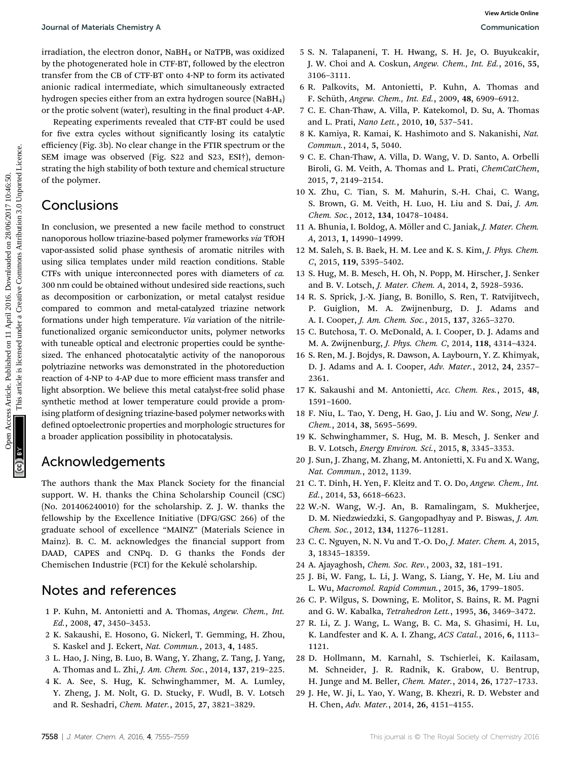irradiation, the electron donor, NaBH<sub>4</sub> or NaTPB, was oxidized by the photogenerated hole in CTF-BT, followed by the electron transfer from the CB of CTF-BT onto 4-NP to form its activated anionic radical intermediate, which simultaneously extracted hydrogen species either from an extra hydrogen source (NaBH<sub>4</sub>) or the protic solvent (water), resulting in the final product 4-AP.

Repeating experiments revealed that CTF-BT could be used for five extra cycles without significantly losing its catalytic efficiency (Fig. 3b). No clear change in the FTIR spectrum or the SEM image was observed (Fig. S22 and S23, ESI†), demonstrating the high stability of both texture and chemical structure of the polymer.

### Conclusions

In conclusion, we presented a new facile method to construct nanoporous hollow triazine-based polymer frameworks via TfOH vapor-assisted solid phase synthesis of aromatic nitriles with using silica templates under mild reaction conditions. Stable CTFs with unique interconnected pores with diameters of ca. 300 nm could be obtained without undesired side reactions, such as decomposition or carbonization, or metal catalyst residue compared to common and metal-catalyzed triazine network formations under high temperature. Via variation of the nitrilefunctionalized organic semiconductor units, polymer networks with tuneable optical and electronic properties could be synthesized. The enhanced photocatalytic activity of the nanoporous polytriazine networks was demonstrated in the photoreduction reaction of 4-NP to 4-AP due to more efficient mass transfer and light absorption. We believe this metal catalyst-free solid phase synthetic method at lower temperature could provide a promising platform of designing triazine-based polymer networks with defined optoelectronic properties and morphologic structures for a broader application possibility in photocatalysis. **Journal of Materials Chemitery Article Of Materials Article articles.** The photographical by the chemical common signification of the energy of the common Access Article. The photographical common Common Common Access Ar

### Acknowledgements

The authors thank the Max Planck Society for the financial support. W. H. thanks the China Scholarship Council (CSC) (No. 201406240010) for the scholarship. Z. J. W. thanks the fellowship by the Excellence Initiative (DFG/GSC 266) of the graduate school of excellence "MAINZ" (Materials Science in Mainz). B. C. M. acknowledges the financial support from DAAD, CAPES and CNPq. D. G thanks the Fonds der Chemischen Industrie (FCI) for the Kekulé scholarship.

### Notes and references

- 1 P. Kuhn, M. Antonietti and A. Thomas, Angew. Chem., Int. Ed., 2008, 47, 3450–3453.
- 2 K. Sakaushi, E. Hosono, G. Nickerl, T. Gemming, H. Zhou, S. Kaskel and J. Eckert, Nat. Commun., 2013, 4, 1485.
- 3 L. Hao, J. Ning, B. Luo, B. Wang, Y. Zhang, Z. Tang, J. Yang, A. Thomas and L. Zhi, J. Am. Chem. Soc., 2014, 137, 219–225.
- 4 K. A. See, S. Hug, K. Schwinghammer, M. A. Lumley, Y. Zheng, J. M. Nolt, G. D. Stucky, F. Wudl, B. V. Lotsch and R. Seshadri, Chem. Mater., 2015, 27, 3821–3829.
- 5 S. N. Talapaneni, T. H. Hwang, S. H. Je, O. Buyukcakir, J. W. Choi and A. Coskun, Angew. Chem., Int. Ed., 2016, 55, 3106–3111.
- 6 R. Palkovits, M. Antonietti, P. Kuhn, A. Thomas and F. Schüth, Angew. Chem., Int. Ed., 2009, 48, 6909-6912.
- 7 C. E. Chan-Thaw, A. Villa, P. Katekomol, D. Su, A. Thomas and L. Prati, Nano Lett., 2010, 10, 537–541.
- 8 K. Kamiya, R. Kamai, K. Hashimoto and S. Nakanishi, Nat. Commun., 2014, 5, 5040.
- 9 C. E. Chan-Thaw, A. Villa, D. Wang, V. D. Santo, A. Orbelli Biroli, G. M. Veith, A. Thomas and L. Prati, ChemCatChem, 2015, 7, 2149–2154.
- 10 X. Zhu, C. Tian, S. M. Mahurin, S.-H. Chai, C. Wang, S. Brown, G. M. Veith, H. Luo, H. Liu and S. Dai, J. Am. Chem. Soc., 2012, 134, 10478–10484.
- 11 A. Bhunia, I. Boldog, A. Möller and C. Janiak, J. Mater. Chem. A, 2013, 1, 14990–14999.
- 12 M. Saleh, S. B. Baek, H. M. Lee and K. S. Kim, J. Phys. Chem. C, 2015, 119, 5395–5402.
- 13 S. Hug, M. B. Mesch, H. Oh, N. Popp, M. Hirscher, J. Senker and B. V. Lotsch, J. Mater. Chem. A, 2014, 2, 5928–5936.
- 14 R. S. Sprick, J.-X. Jiang, B. Bonillo, S. Ren, T. Ratvijitvech, P. Guiglion, M. A. Zwijnenburg, D. J. Adams and A. I. Cooper, J. Am. Chem. Soc., 2015, 137, 3265–3270.
- 15 C. Butchosa, T. O. McDonald, A. I. Cooper, D. J. Adams and M. A. Zwijnenburg, J. Phys. Chem. C, 2014, 118, 4314–4324.
- 16 S. Ren, M. J. Bojdys, R. Dawson, A. Laybourn, Y. Z. Khimyak, D. J. Adams and A. I. Cooper, Adv. Mater., 2012, 24, 2357– 2361.
- 17 K. Sakaushi and M. Antonietti, Acc. Chem. Res., 2015, 48, 1591–1600.
- 18 F. Niu, L. Tao, Y. Deng, H. Gao, J. Liu and W. Song, New J. Chem., 2014, 38, 5695–5699.
- 19 K. Schwinghammer, S. Hug, M. B. Mesch, J. Senker and B. V. Lotsch, Energy Environ. Sci., 2015, 8, 3345–3353.
- 20 J. Sun, J. Zhang, M. Zhang, M. Antonietti, X. Fu and X. Wang, Nat. Commun., 2012, 1139.
- 21 C. T. Dinh, H. Yen, F. Kleitz and T. O. Do, Angew. Chem., Int. Ed., 2014, 53, 6618–6623.
- 22 W.-N. Wang, W.-J. An, B. Ramalingam, S. Mukherjee, D. M. Niedzwiedzki, S. Gangopadhyay and P. Biswas, J. Am. Chem. Soc., 2012, 134, 11276–11281.
- 23 C. C. Nguyen, N. N. Vu and T.-O. Do, J. Mater. Chem. A, 2015, 3, 18345–18359.
- 24 A. Ajayaghosh, Chem. Soc. Rev., 2003, 32, 181–191.
- 25 J. Bi, W. Fang, L. Li, J. Wang, S. Liang, Y. He, M. Liu and L. Wu, Macromol. Rapid Commun., 2015, 36, 1799–1805.
- 26 C. P. Wilgus, S. Downing, E. Molitor, S. Bains, R. M. Pagni and G. W. Kabalka, Tetrahedron Lett., 1995, 36, 3469–3472.
- 27 R. Li, Z. J. Wang, L. Wang, B. C. Ma, S. Ghasimi, H. Lu, K. Landfester and K. A. I. Zhang, ACS Catal., 2016, 6, 1113– 1121.
- 28 D. Hollmann, M. Karnahl, S. Tschierlei, K. Kailasam, M. Schneider, J. R. Radnik, K. Grabow, U. Bentrup, H. Junge and M. Beller, Chem. Mater., 2014, 26, 1727–1733.
- 29 J. He, W. Ji, L. Yao, Y. Wang, B. Khezri, R. D. Webster and H. Chen, Adv. Mater., 2014, 26, 4151–4155.